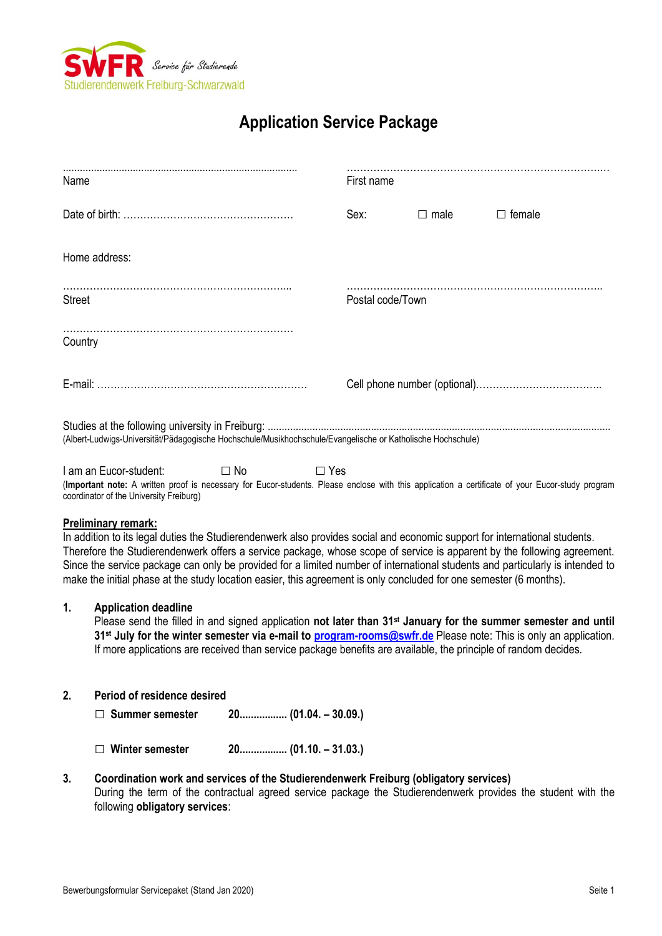

# **Application Service Package**

| Name                                                                                                        | First name       |             |               |  |
|-------------------------------------------------------------------------------------------------------------|------------------|-------------|---------------|--|
|                                                                                                             | Sex:             | $\Box$ male | $\Box$ female |  |
| Home address:                                                                                               |                  |             |               |  |
| <b>Street</b>                                                                                               | Postal code/Town |             |               |  |
| Country                                                                                                     |                  |             |               |  |
|                                                                                                             |                  |             |               |  |
| (Albert-Ludwigs-Universität/Pädagogische Hochschule/Musikhochschule/Evangelische or Katholische Hochschule) |                  |             |               |  |

I am an Eucor-student: □ No □ Yes (**Important note:** A written proof is necessary for Eucor-students. Please enclose with this application a certificate of your Eucor-study program coordinator of the University Freiburg)

## **Preliminary remark:**

In addition to its legal duties the Studierendenwerk also provides social and economic support for international students. Therefore the Studierendenwerk offers a service package, whose scope of service is apparent by the following agreement. Since the service package can only be provided for a limited number of international students and particularly is intended to make the initial phase at the study location easier, this agreement is only concluded for one semester (6 months).

## **1. Application deadline**

Please send the filled in and signed application **not later than 31st January for the summer semester and until 31st July for the winter semester via e-mail to [program-rooms@swfr.de](mailto:program-rooms@swfr.de)** Please note: This is only an application. If more applications are received than service package benefits are available, the principle of random decides.

## **2. Period of residence desired**

□ **Summer semester 20................. (01.04. – 30.09.)**

- □ **Winter semester 20................. (01.10. – 31.03.)**
- **3. Coordination work and services of the Studierendenwerk Freiburg (obligatory services)** During the term of the contractual agreed service package the Studierendenwerk provides the student with the following **obligatory services**: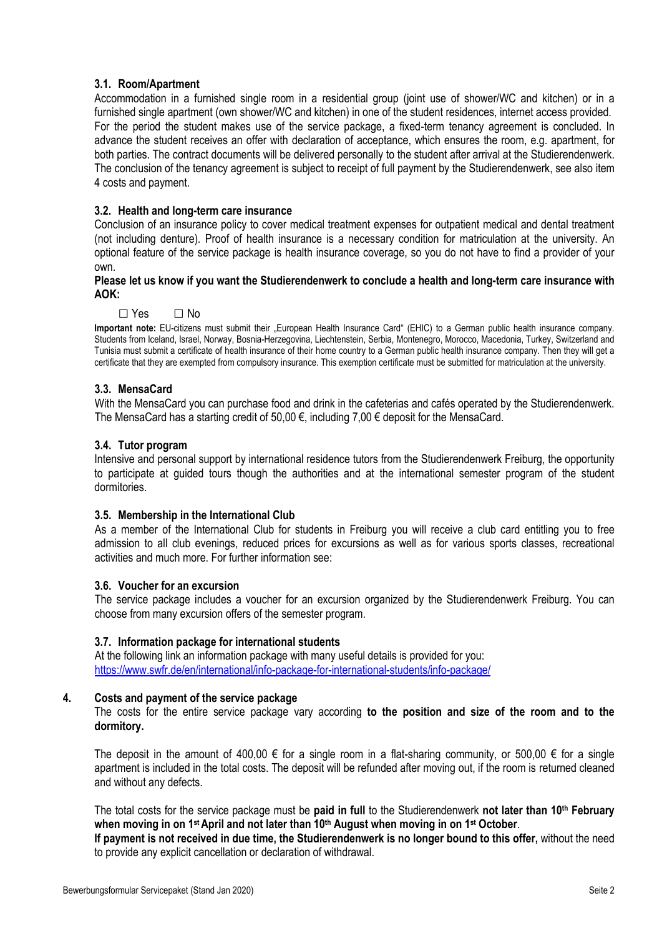## **3.1. Room/Apartment**

Accommodation in a furnished single room in a residential group (joint use of shower/WC and kitchen) or in a furnished single apartment (own shower/WC and kitchen) in one of the student residences, internet access provided. For the period the student makes use of the service package, a fixed-term tenancy agreement is concluded. In advance the student receives an offer with declaration of acceptance, which ensures the room, e.g. apartment, for both parties. The contract documents will be delivered personally to the student after arrival at the Studierendenwerk. The conclusion of the tenancy agreement is subject to receipt of full payment by the Studierendenwerk, see also item 4 costs and payment.

## **3.2. Health and long-term care insurance**

Conclusion of an insurance policy to cover medical treatment expenses for outpatient medical and dental treatment (not including denture). Proof of health insurance is a necessary condition for matriculation at the university. An optional feature of the service package is health insurance coverage, so you do not have to find a provider of your own.

## **Please let us know if you want the Studierendenwerk to conclude a health and long-term care insurance with AOK:**

□ Yes **□** No

**Important note:** EU-citizens must submit their "European Health Insurance Card" (EHIC) to a German public health insurance company. Students from Iceland, Israel, Norway, Bosnia-Herzegovina, Liechtenstein, Serbia, Montenegro, Morocco, Macedonia, Turkey, Switzerland and Tunisia must submit a certificate of health insurance of their home country to a German public health insurance company. Then they will get a certificate that they are exempted from compulsory insurance. This exemption certificate must be submitted for matriculation at the university.

## **3.3. MensaCard**

With the MensaCard you can purchase food and drink in the cafeterias and cafés operated by the Studierendenwerk. The MensaCard has a starting credit of 50,00  $\epsilon$ , including 7,00  $\epsilon$  deposit for the MensaCard.

## **3.4. Tutor program**

Intensive and personal support by international residence tutors from the Studierendenwerk Freiburg, the opportunity to participate at guided tours though the authorities and at the international semester program of the student dormitories.

## **3.5. Membership in the International Club**

As a member of the International Club for students in Freiburg you will receive a club card entitling you to free admission to all club evenings, reduced prices for excursions as well as for various sports classes, recreational activities and much more. For further information see:

## **3.6. Voucher for an excursion**

The service package includes a voucher for an excursion organized by the Studierendenwerk Freiburg. You can choose from many excursion offers of the semester program.

## **3.7. Information package for international students**

At the following link an information package with many useful details is provided for you: <https://www.swfr.de/en/international/info-package-for-international-students/info-package/>

## **4. Costs and payment of the service package**

The costs for the entire service package vary according **to the position and size of the room and to the dormitory.**

The deposit in the amount of 400,00  $\epsilon$  for a single room in a flat-sharing community, or 500,00  $\epsilon$  for a single apartment is included in the total costs. The deposit will be refunded after moving out, if the room is returned cleaned and without any defects.

The total costs for the service package must be **paid in full** to the Studierendenwerk **not later than 10th February when moving in on 1 st April and not later than 10th August when moving in on 1 st October**.

**If payment is not received in due time, the Studierendenwerk is no longer bound to this offer,** without the need to provide any explicit cancellation or declaration of withdrawal.